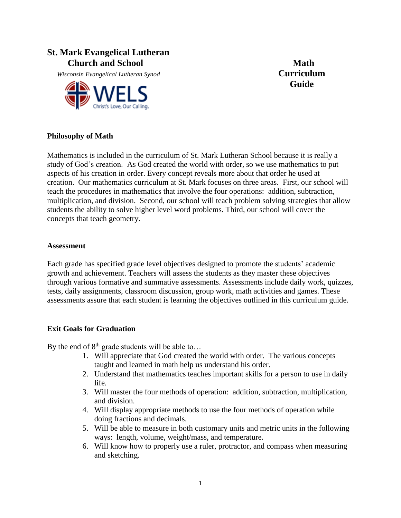# **St. Mark Evangelical Lutheran**  *Church and School* **Math**

*Wisconsin Evangelical Lutheran Synod* **Curriculum** 



**Guide**

#### **Philosophy of Math**

Mathematics is included in the curriculum of St. Mark Lutheran School because it is really a study of God's creation. As God created the world with order, so we use mathematics to put aspects of his creation in order. Every concept reveals more about that order he used at creation. Our mathematics curriculum at St. Mark focuses on three areas. First, our school will teach the procedures in mathematics that involve the four operations: addition, subtraction, multiplication, and division. Second, our school will teach problem solving strategies that allow students the ability to solve higher level word problems. Third, our school will cover the concepts that teach geometry.

#### **Assessment**

Each grade has specified grade level objectives designed to promote the students' academic growth and achievement. Teachers will assess the students as they master these objectives through various formative and summative assessments. Assessments include daily work, quizzes, tests, daily assignments, classroom discussion, group work, math activities and games. These assessments assure that each student is learning the objectives outlined in this curriculum guide.

#### **Exit Goals for Graduation**

By the end of  $8<sup>th</sup>$  grade students will be able to...

- 1. Will appreciate that God created the world with order. The various concepts taught and learned in math help us understand his order.
- 2. Understand that mathematics teaches important skills for a person to use in daily life.
- 3. Will master the four methods of operation: addition, subtraction, multiplication, and division.
- 4. Will display appropriate methods to use the four methods of operation while doing fractions and decimals.
- 5. Will be able to measure in both customary units and metric units in the following ways: length, volume, weight/mass, and temperature.
- 6. Will know how to properly use a ruler, protractor, and compass when measuring and sketching.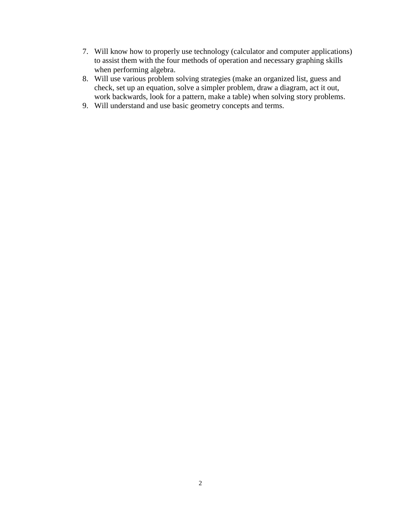- 7. Will know how to properly use technology (calculator and computer applications) to assist them with the four methods of operation and necessary graphing skills when performing algebra.
- 8. Will use various problem solving strategies (make an organized list, guess and check, set up an equation, solve a simpler problem, draw a diagram, act it out, work backwards, look for a pattern, make a table) when solving story problems.
- 9. Will understand and use basic geometry concepts and terms.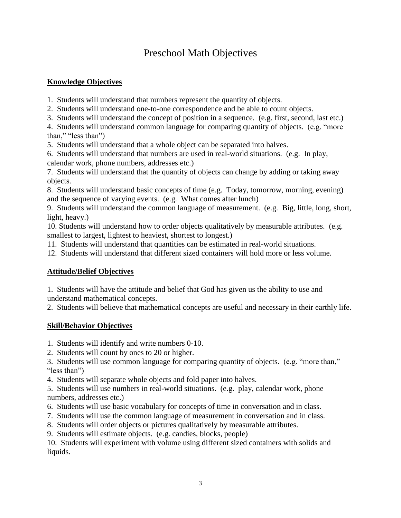# Preschool Math Objectives

## **Knowledge Objectives**

1. Students will understand that numbers represent the quantity of objects.

2. Students will understand one-to-one correspondence and be able to count objects.

3. Students will understand the concept of position in a sequence. (e.g. first, second, last etc.)

4. Students will understand common language for comparing quantity of objects. (e.g. "more than," "less than")

5. Students will understand that a whole object can be separated into halves.

6. Students will understand that numbers are used in real-world situations. (e.g. In play, calendar work, phone numbers, addresses etc.)

7. Students will understand that the quantity of objects can change by adding or taking away objects.

8. Students will understand basic concepts of time (e.g. Today, tomorrow, morning, evening) and the sequence of varying events. (e.g. What comes after lunch)

9. Students will understand the common language of measurement. (e.g. Big, little, long, short, light, heavy.)

10. Students will understand how to order objects qualitatively by measurable attributes. (e.g. smallest to largest, lightest to heaviest, shortest to longest.)

11. Students will understand that quantities can be estimated in real-world situations.

12. Students will understand that different sized containers will hold more or less volume.

# **Attitude/Belief Objectives**

1. Students will have the attitude and belief that God has given us the ability to use and understand mathematical concepts.

2. Students will believe that mathematical concepts are useful and necessary in their earthly life.

# **Skill/Behavior Objectives**

1. Students will identify and write numbers 0-10.

2. Students will count by ones to 20 or higher.

3. Students will use common language for comparing quantity of objects. (e.g. "more than," "less than")

4. Students will separate whole objects and fold paper into halves.

5. Students will use numbers in real-world situations. (e.g. play, calendar work, phone numbers, addresses etc.)

- 6. Students will use basic vocabulary for concepts of time in conversation and in class.
- 7. Students will use the common language of measurement in conversation and in class.
- 8. Students will order objects or pictures qualitatively by measurable attributes.
- 9. Students will estimate objects. (e.g. candies, blocks, people)

10. Students will experiment with volume using different sized containers with solids and liquids.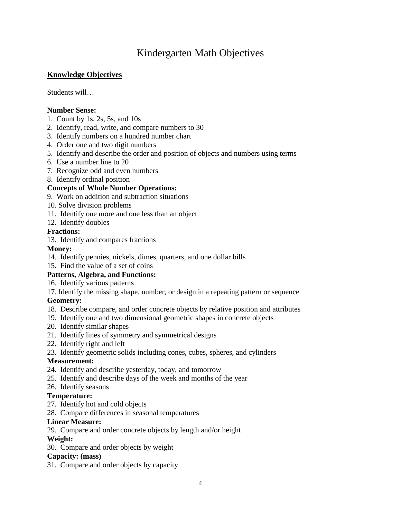# Kindergarten Math Objectives

## **Knowledge Objectives**

Students will…

#### **Number Sense:**

- 1. Count by 1s, 2s, 5s, and 10s
- 2. Identify, read, write, and compare numbers to 30
- 3. Identify numbers on a hundred number chart
- 4. Order one and two digit numbers
- 5. Identify and describe the order and position of objects and numbers using terms
- 6. Use a number line to 20
- 7. Recognize odd and even numbers
- 8. Identify ordinal position

#### **Concepts of Whole Number Operations:**

- 9. Work on addition and subtraction situations
- 10. Solve division problems
- 11. Identify one more and one less than an object
- 12. Identify doubles

#### **Fractions:**

13. Identify and compares fractions

#### **Money:**

- 14. Identify pennies, nickels, dimes, quarters, and one dollar bills
- 15. Find the value of a set of coins

#### **Patterns, Algebra, and Functions:**

- 16. Identify various patterns
- 17. Identify the missing shape, number, or design in a repeating pattern or sequence

#### **Geometry:**

- 18. Describe compare, and order concrete objects by relative position and attributes
- 19. Identify one and two dimensional geometric shapes in concrete objects
- 20. Identify similar shapes
- 21. Identify lines of symmetry and symmetrical designs
- 22. Identify right and left
- 23. Identify geometric solids including cones, cubes, spheres, and cylinders

#### **Measurement:**

- 24. Identify and describe yesterday, today, and tomorrow
- 25. Identify and describe days of the week and months of the year
- 26. Identify seasons

#### **Temperature:**

- 27. Identify hot and cold objects
- 28. Compare differences in seasonal temperatures

#### **Linear Measure:**

29. Compare and order concrete objects by length and/or height

#### **Weight:**

30. Compare and order objects by weight

#### **Capacity: (mass)**

31. Compare and order objects by capacity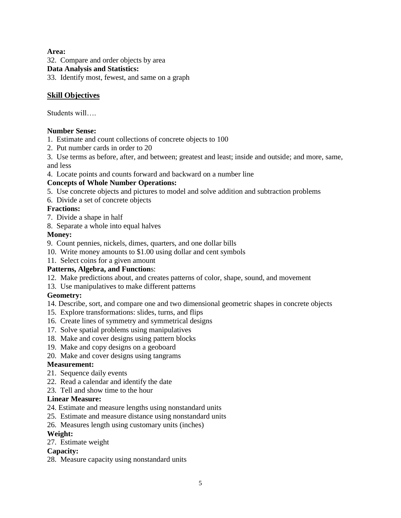#### **Area:**

32. Compare and order objects by area **Data Analysis and Statistics:** 33. Identify most, fewest, and same on a graph

#### **Skill Objectives**

Students will….

#### **Number Sense:**

- 1. Estimate and count collections of concrete objects to 100
- 2. Put number cards in order to 20

3. Use terms as before, after, and between; greatest and least; inside and outside; and more, same, and less

4. Locate points and counts forward and backward on a number line

#### **Concepts of Whole Number Operations:**

- 5. Use concrete objects and pictures to model and solve addition and subtraction problems
- 6. Divide a set of concrete objects

#### **Fractions:**

- 7. Divide a shape in half
- 8. Separate a whole into equal halves

#### **Money:**

- 9. Count pennies, nickels, dimes, quarters, and one dollar bills
- 10. Write money amounts to \$1.00 using dollar and cent symbols
- 11. Select coins for a given amount

#### **Patterns, Algebra, and Function**s:

- 12. Make predictions about, and creates patterns of color, shape, sound, and movement
- 13. Use manipulatives to make different patterns

#### **Geometry:**

- 14. Describe, sort, and compare one and two dimensional geometric shapes in concrete objects
- 15. Explore transformations: slides, turns, and flips
- 16. Create lines of symmetry and symmetrical designs
- 17. Solve spatial problems using manipulatives
- 18. Make and cover designs using pattern blocks
- 19. Make and copy designs on a geoboard
- 20. Make and cover designs using tangrams

#### **Measurement:**

- 21. Sequence daily events
- 22. Read a calendar and identify the date
- 23. Tell and show time to the hour

#### **Linear Measure:**

- 24. Estimate and measure lengths using nonstandard units
- 25. Estimate and measure distance using nonstandard units
- 26. Measures length using customary units (inches)

#### **Weight:**

27. Estimate weight

#### **Capacity:**

28. Measure capacity using nonstandard units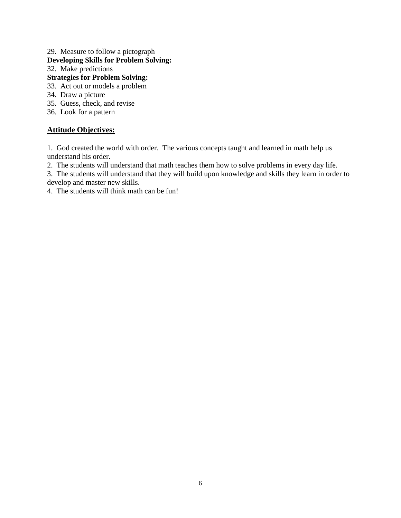# 29. Measure to follow a pictograph

# **Developing Skills for Problem Solving:**

32. Make predictions

# **Strategies for Problem Solving:**

- 33. Act out or models a problem
- 34. Draw a picture
- 35. Guess, check, and revise
- 36. Look for a pattern

## **Attitude Objectives:**

1. God created the world with order. The various concepts taught and learned in math help us understand his order.

2. The students will understand that math teaches them how to solve problems in every day life.

3. The students will understand that they will build upon knowledge and skills they learn in order to develop and master new skills.

4. The students will think math can be fun!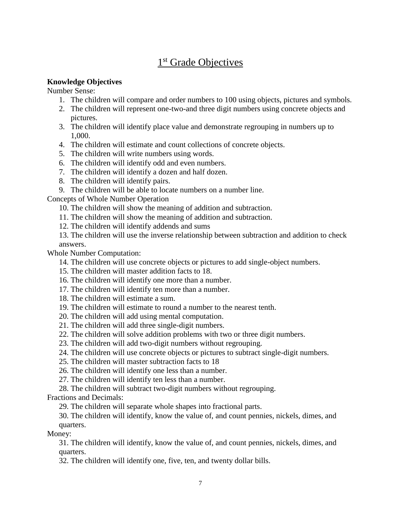# 1<sup>st</sup> Grade Objectives

#### **Knowledge Objectives**

Number Sense:

- 1. The children will compare and order numbers to 100 using objects, pictures and symbols.
- 2. The children will represent one-two-and three digit numbers using concrete objects and pictures.
- 3. The children will identify place value and demonstrate regrouping in numbers up to 1,000.
- 4. The children will estimate and count collections of concrete objects.
- 5. The children will write numbers using words.
- 6. The children will identify odd and even numbers.
- 7. The children will identify a dozen and half dozen.
- 8. The children will identify pairs.
- 9. The children will be able to locate numbers on a number line.

Concepts of Whole Number Operation

- 10. The children will show the meaning of addition and subtraction.
- 11. The children will show the meaning of addition and subtraction.
- 12. The children will identify addends and sums
- 13. The children will use the inverse relationship between subtraction and addition to check answers.

Whole Number Computation:

- 14. The children will use concrete objects or pictures to add single-object numbers.
- 15. The children will master addition facts to 18.
- 16. The children will identify one more than a number.
- 17. The children will identify ten more than a number.
- 18. The children will estimate a sum.
- 19. The children will estimate to round a number to the nearest tenth.
- 20. The children will add using mental computation.
- 21. The children will add three single-digit numbers.
- 22. The children will solve addition problems with two or three digit numbers.
- 23. The children will add two-digit numbers without regrouping.
- 24. The children will use concrete objects or pictures to subtract single-digit numbers.
- 25. The children will master subtraction facts to 18
- 26. The children will identify one less than a number.
- 27. The children will identify ten less than a number.
- 28. The children will subtract two-digit numbers without regrouping.

Fractions and Decimals:

29. The children will separate whole shapes into fractional parts.

30. The children will identify, know the value of, and count pennies, nickels, dimes, and quarters.

Money:

31. The children will identify, know the value of, and count pennies, nickels, dimes, and quarters.

32. The children will identify one, five, ten, and twenty dollar bills.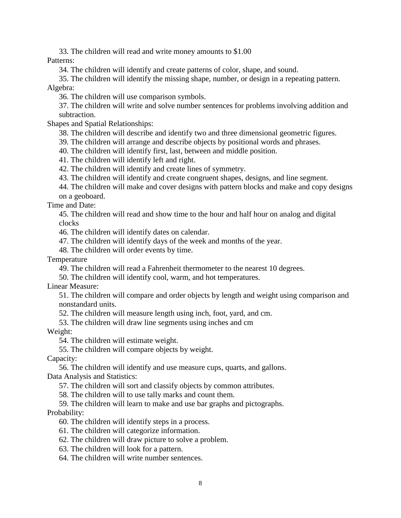33. The children will read and write money amounts to \$1.00

Patterns:

34. The children will identify and create patterns of color, shape, and sound.

35. The children will identify the missing shape, number, or design in a repeating pattern. Algebra:

36. The children will use comparison symbols.

37. The children will write and solve number sentences for problems involving addition and subtraction.

Shapes and Spatial Relationships:

38. The children will describe and identify two and three dimensional geometric figures.

39. The children will arrange and describe objects by positional words and phrases.

40. The children will identify first, last, between and middle position.

41. The children will identify left and right.

42. The children will identify and create lines of symmetry.

43. The children will identify and create congruent shapes, designs, and line segment.

44. The children will make and cover designs with pattern blocks and make and copy designs on a geoboard.

Time and Date:

45. The children will read and show time to the hour and half hour on analog and digital clocks

46. The children will identify dates on calendar.

47. The children will identify days of the week and months of the year.

48. The children will order events by time.

Temperature

49. The children will read a Fahrenheit thermometer to the nearest 10 degrees.

50. The children will identify cool, warm, and hot temperatures.

Linear Measure:

51. The children will compare and order objects by length and weight using comparison and nonstandard units.

52. The children will measure length using inch, foot, yard, and cm.

53. The children will draw line segments using inches and cm

Weight:

54. The children will estimate weight.

55. The children will compare objects by weight.

Capacity:

56. The children will identify and use measure cups, quarts, and gallons. Data Analysis and Statistics:

57. The children will sort and classify objects by common attributes.

58. The children will to use tally marks and count them.

59. The children will learn to make and use bar graphs and pictographs. Probability:

60. The children will identify steps in a process.

61. The children will categorize information.

62. The children will draw picture to solve a problem.

63. The children will look for a pattern.

64. The children will write number sentences.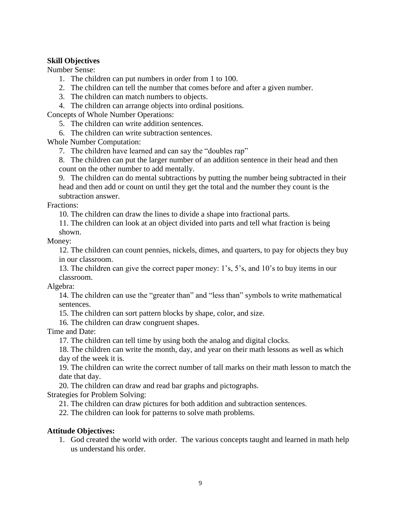#### **Skill Objectives**

Number Sense:

- 1. The children can put numbers in order from 1 to 100.
- 2. The children can tell the number that comes before and after a given number.
- 3. The children can match numbers to objects.
- 4. The children can arrange objects into ordinal positions.

Concepts of Whole Number Operations:

- 5. The children can write addition sentences.
- 6. The children can write subtraction sentences.

Whole Number Computation:

- 7. The children have learned and can say the "doubles rap"
- 8. The children can put the larger number of an addition sentence in their head and then count on the other number to add mentally.

9. The children can do mental subtractions by putting the number being subtracted in their head and then add or count on until they get the total and the number they count is the subtraction answer.

#### Fractions:

10. The children can draw the lines to divide a shape into fractional parts.

11. The children can look at an object divided into parts and tell what fraction is being shown.

#### Money:

12. The children can count pennies, nickels, dimes, and quarters, to pay for objects they buy in our classroom.

13. The children can give the correct paper money: 1's, 5's, and 10's to buy items in our classroom.

Algebra:

14. The children can use the "greater than" and "less than" symbols to write mathematical sentences.

15. The children can sort pattern blocks by shape, color, and size.

16. The children can draw congruent shapes.

Time and Date:

17. The children can tell time by using both the analog and digital clocks.

18. The children can write the month, day, and year on their math lessons as well as which day of the week it is.

19. The children can write the correct number of tall marks on their math lesson to match the date that day.

20. The children can draw and read bar graphs and pictographs.

Strategies for Problem Solving:

21. The children can draw pictures for both addition and subtraction sentences.

22. The children can look for patterns to solve math problems.

#### **Attitude Objectives:**

1. God created the world with order. The various concepts taught and learned in math help us understand his order.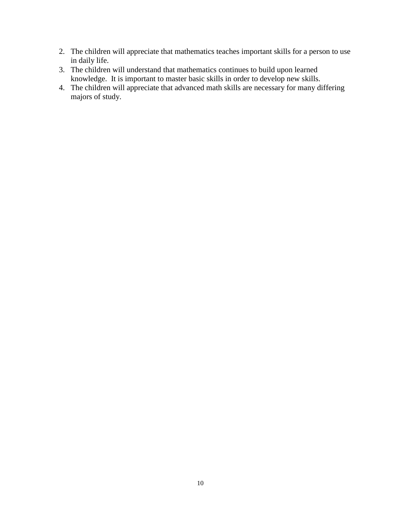- 2. The children will appreciate that mathematics teaches important skills for a person to use in daily life.
- 3. The children will understand that mathematics continues to build upon learned knowledge. It is important to master basic skills in order to develop new skills.
- 4. The children will appreciate that advanced math skills are necessary for many differing majors of study.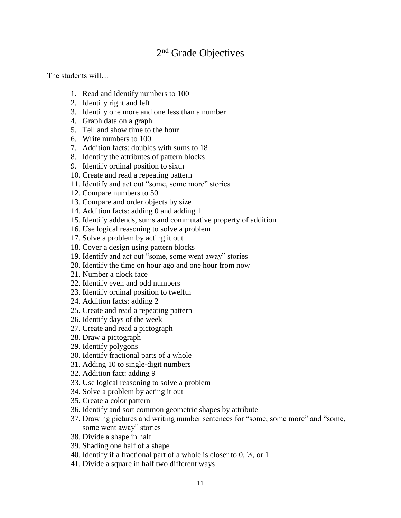# 2<sup>nd</sup> Grade Objectives

The students will…

- 1. Read and identify numbers to 100
- 2. Identify right and left
- 3. Identify one more and one less than a number
- 4. Graph data on a graph
- 5. Tell and show time to the hour
- 6. Write numbers to 100
- 7. Addition facts: doubles with sums to 18
- 8. Identify the attributes of pattern blocks
- 9. Identify ordinal position to sixth
- 10. Create and read a repeating pattern
- 11. Identify and act out "some, some more" stories
- 12. Compare numbers to 50
- 13. Compare and order objects by size
- 14. Addition facts: adding 0 and adding 1
- 15. Identify addends, sums and commutative property of addition
- 16. Use logical reasoning to solve a problem
- 17. Solve a problem by acting it out
- 18. Cover a design using pattern blocks
- 19. Identify and act out "some, some went away" stories
- 20. Identify the time on hour ago and one hour from now
- 21. Number a clock face
- 22. Identify even and odd numbers
- 23. Identify ordinal position to twelfth
- 24. Addition facts: adding 2
- 25. Create and read a repeating pattern
- 26. Identify days of the week
- 27. Create and read a pictograph
- 28. Draw a pictograph
- 29. Identify polygons
- 30. Identify fractional parts of a whole
- 31. Adding 10 to single-digit numbers
- 32. Addition fact: adding 9
- 33. Use logical reasoning to solve a problem
- 34. Solve a problem by acting it out
- 35. Create a color pattern
- 36. Identify and sort common geometric shapes by attribute
- 37. Drawing pictures and writing number sentences for "some, some more" and "some, some went away" stories
- 38. Divide a shape in half
- 39. Shading one half of a shape
- 40. Identify if a fractional part of a whole is closer to  $0, \frac{1}{2}$ , or 1
- 41. Divide a square in half two different ways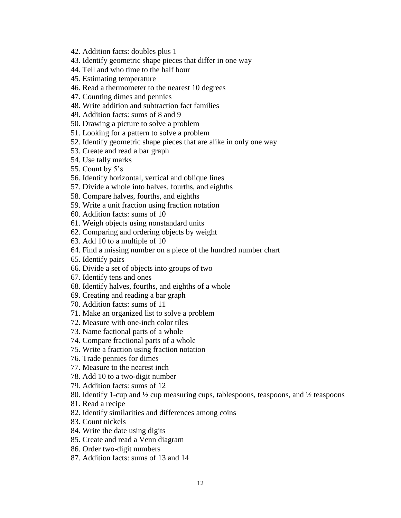- 42. Addition facts: doubles plus 1
- 43. Identify geometric shape pieces that differ in one way
- 44. Tell and who time to the half hour
- 45. Estimating temperature
- 46. Read a thermometer to the nearest 10 degrees
- 47. Counting dimes and pennies
- 48. Write addition and subtraction fact families
- 49. Addition facts: sums of 8 and 9
- 50. Drawing a picture to solve a problem
- 51. Looking for a pattern to solve a problem
- 52. Identify geometric shape pieces that are alike in only one way
- 53. Create and read a bar graph
- 54. Use tally marks
- 55. Count by 5's
- 56. Identify horizontal, vertical and oblique lines
- 57. Divide a whole into halves, fourths, and eighths
- 58. Compare halves, fourths, and eighths
- 59. Write a unit fraction using fraction notation
- 60. Addition facts: sums of 10
- 61. Weigh objects using nonstandard units
- 62. Comparing and ordering objects by weight
- 63. Add 10 to a multiple of 10
- 64. Find a missing number on a piece of the hundred number chart
- 65. Identify pairs
- 66. Divide a set of objects into groups of two
- 67. Identify tens and ones
- 68. Identify halves, fourths, and eighths of a whole
- 69. Creating and reading a bar graph
- 70. Addition facts: sums of 11
- 71. Make an organized list to solve a problem
- 72. Measure with one-inch color tiles
- 73. Name factional parts of a whole
- 74. Compare fractional parts of a whole
- 75. Write a fraction using fraction notation
- 76. Trade pennies for dimes
- 77. Measure to the nearest inch
- 78. Add 10 to a two-digit number
- 79. Addition facts: sums of 12
- 80. Identify 1-cup and ½ cup measuring cups, tablespoons, teaspoons, and ½ teaspoons
- 81. Read a recipe
- 82. Identify similarities and differences among coins
- 83. Count nickels
- 84. Write the date using digits
- 85. Create and read a Venn diagram
- 86. Order two-digit numbers
- 87. Addition facts: sums of 13 and 14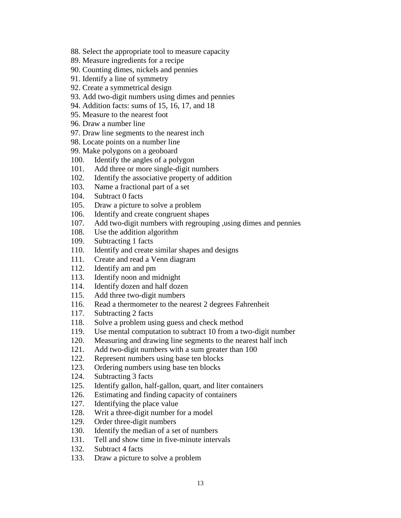- 88. Select the appropriate tool to measure capacity
- 89. Measure ingredients for a recipe
- 90. Counting dimes, nickels and pennies
- 91. Identify a line of symmetry
- 92. Create a symmetrical design
- 93. Add two-digit numbers using dimes and pennies
- 94. Addition facts: sums of 15, 16, 17, and 18
- 95. Measure to the nearest foot
- 96. Draw a number line
- 97. Draw line segments to the nearest inch
- 98. Locate points on a number line
- 99. Make polygons on a geoboard
- 100. Identify the angles of a polygon
- 101. Add three or more single-digit numbers
- 102. Identify the associative property of addition
- 103. Name a fractional part of a set
- 104. Subtract 0 facts
- 105. Draw a picture to solve a problem
- 106. Identify and create congruent shapes
- 107. Add two-digit numbers with regrouping ,using dimes and pennies
- 108. Use the addition algorithm
- 109. Subtracting 1 facts
- 110. Identify and create similar shapes and designs
- 111. Create and read a Venn diagram
- 112. Identify am and pm
- 113. Identify noon and midnight
- 114. Identify dozen and half dozen
- 115. Add three two-digit numbers
- 116. Read a thermometer to the nearest 2 degrees Fahrenheit
- 117. Subtracting 2 facts
- 118. Solve a problem using guess and check method
- 119. Use mental computation to subtract 10 from a two-digit number
- 120. Measuring and drawing line segments to the nearest half inch
- 121. Add two-digit numbers with a sum greater than 100
- 122. Represent numbers using base ten blocks
- 123. Ordering numbers using base ten blocks
- 124. Subtracting 3 facts
- 125. Identify gallon, half-gallon, quart, and liter containers
- 126. Estimating and finding capacity of containers
- 127. Identifying the place value
- 128. Writ a three-digit number for a model
- 129. Order three-digit numbers
- 130. Identify the median of a set of numbers
- 131. Tell and show time in five-minute intervals
- 132. Subtract 4 facts
- 133. Draw a picture to solve a problem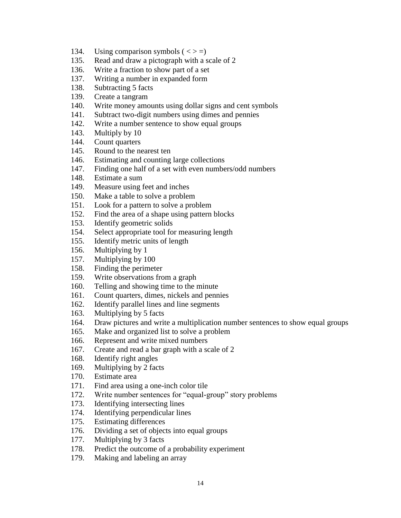- 134. Using comparison symbols  $(<>z=$ )
- 135. Read and draw a pictograph with a scale of 2
- 136. Write a fraction to show part of a set
- 137. Writing a number in expanded form
- 138. Subtracting 5 facts
- 139. Create a tangram
- 140. Write money amounts using dollar signs and cent symbols
- 141. Subtract two-digit numbers using dimes and pennies
- 142. Write a number sentence to show equal groups
- 143. Multiply by 10
- 144. Count quarters
- 145. Round to the nearest ten
- 146. Estimating and counting large collections
- 147. Finding one half of a set with even numbers/odd numbers
- 148. Estimate a sum
- 149. Measure using feet and inches
- 150. Make a table to solve a problem
- 151. Look for a pattern to solve a problem
- 152. Find the area of a shape using pattern blocks
- 153. Identify geometric solids
- 154. Select appropriate tool for measuring length
- 155. Identify metric units of length
- 156. Multiplying by 1
- 157. Multiplying by 100
- 158. Finding the perimeter
- 159. Write observations from a graph
- 160. Telling and showing time to the minute
- 161. Count quarters, dimes, nickels and pennies
- 162. Identify parallel lines and line segments
- 163. Multiplying by 5 facts
- 164. Draw pictures and write a multiplication number sentences to show equal groups
- 165. Make and organized list to solve a problem
- 166. Represent and write mixed numbers
- 167. Create and read a bar graph with a scale of 2
- 168. Identify right angles
- 169. Multiplying by 2 facts
- 170. Estimate area
- 171. Find area using a one-inch color tile
- 172. Write number sentences for "equal-group" story problems
- 173. Identifying intersecting lines
- 174. Identifying perpendicular lines
- 175. Estimating differences
- 176. Dividing a set of objects into equal groups
- 177. Multiplying by 3 facts
- 178. Predict the outcome of a probability experiment
- 179. Making and labeling an array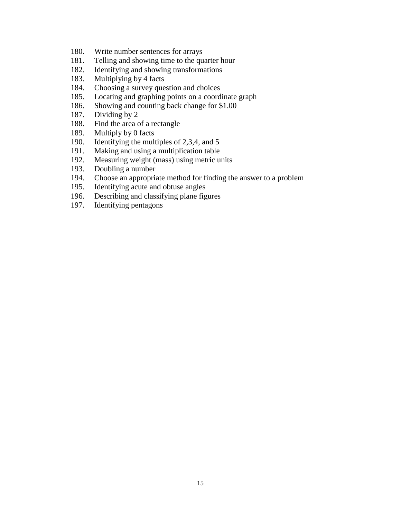- 180. Write number sentences for arrays
- 181. Telling and showing time to the quarter hour
- 182. Identifying and showing transformations
- 183. Multiplying by 4 facts
- 184. Choosing a survey question and choices
- 185. Locating and graphing points on a coordinate graph
- 186. Showing and counting back change for \$1.00
- 187. Dividing by 2
- 188. Find the area of a rectangle
- 189. Multiply by 0 facts
- 190. Identifying the multiples of 2,3,4, and 5
- 191. Making and using a multiplication table
- 192. Measuring weight (mass) using metric units
- 193. Doubling a number
- 194. Choose an appropriate method for finding the answer to a problem
- 195. Identifying acute and obtuse angles
- 196. Describing and classifying plane figures
- 197. Identifying pentagons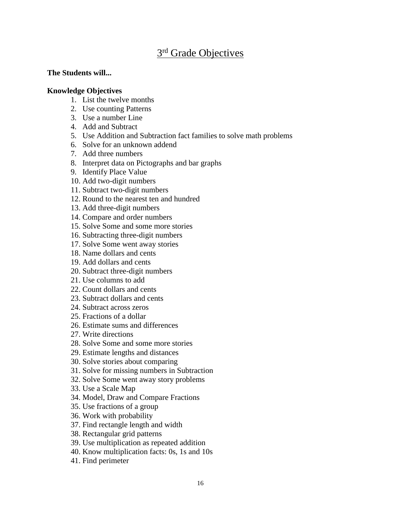# 3<sup>rd</sup> Grade Objectives

#### **The Students will...**

#### **Knowledge Objectives**

- 1. List the twelve months
- 2. Use counting Patterns
- 3. Use a number Line
- 4. Add and Subtract
- 5. Use Addition and Subtraction fact families to solve math problems
- 6. Solve for an unknown addend
- 7. Add three numbers
- 8. Interpret data on Pictographs and bar graphs
- 9. Identify Place Value
- 10. Add two-digit numbers
- 11. Subtract two-digit numbers
- 12. Round to the nearest ten and hundred
- 13. Add three-digit numbers
- 14. Compare and order numbers
- 15. Solve Some and some more stories
- 16. Subtracting three-digit numbers
- 17. Solve Some went away stories
- 18. Name dollars and cents
- 19. Add dollars and cents
- 20. Subtract three-digit numbers
- 21. Use columns to add
- 22. Count dollars and cents
- 23. Subtract dollars and cents
- 24. Subtract across zeros
- 25. Fractions of a dollar
- 26. Estimate sums and differences
- 27. Write directions
- 28. Solve Some and some more stories
- 29. Estimate lengths and distances
- 30. Solve stories about comparing
- 31. Solve for missing numbers in Subtraction
- 32. Solve Some went away story problems
- 33. Use a Scale Map
- 34. Model, Draw and Compare Fractions
- 35. Use fractions of a group
- 36. Work with probability
- 37. Find rectangle length and width
- 38. Rectangular grid patterns
- 39. Use multiplication as repeated addition
- 40. Know multiplication facts: 0s, 1s and 10s
- 41. Find perimeter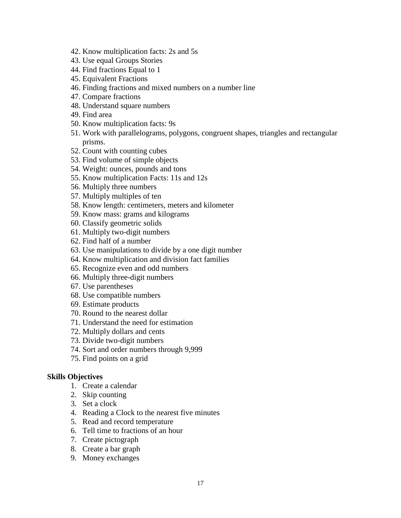- 42. Know multiplication facts: 2s and 5s
- 43. Use equal Groups Stories
- 44. Find fractions Equal to 1
- 45. Equivalent Fractions
- 46. Finding fractions and mixed numbers on a number line
- 47. Compare fractions
- 48. Understand square numbers
- 49. Find area
- 50. Know multiplication facts: 9s
- 51. Work with parallelograms, polygons, congruent shapes, triangles and rectangular prisms.
- 52. Count with counting cubes
- 53. Find volume of simple objects
- 54. Weight: ounces, pounds and tons
- 55. Know multiplication Facts: 11s and 12s
- 56. Multiply three numbers
- 57. Multiply multiples of ten
- 58. Know length: centimeters, meters and kilometer
- 59. Know mass: grams and kilograms
- 60. Classify geometric solids
- 61. Multiply two-digit numbers
- 62. Find half of a number
- 63. Use manipulations to divide by a one digit number
- 64. Know multiplication and division fact families
- 65. Recognize even and odd numbers
- 66. Multiply three-digit numbers
- 67. Use parentheses
- 68. Use compatible numbers
- 69. Estimate products
- 70. Round to the nearest dollar
- 71. Understand the need for estimation
- 72. Multiply dollars and cents
- 73. Divide two-digit numbers
- 74. Sort and order numbers through 9,999
- 75. Find points on a grid

#### **Skills Objectives**

- 1. Create a calendar
- 2. Skip counting
- 3. Set a clock
- 4. Reading a Clock to the nearest five minutes
- 5. Read and record temperature
- 6. Tell time to fractions of an hour
- 7. Create pictograph
- 8. Create a bar graph
- 9. Money exchanges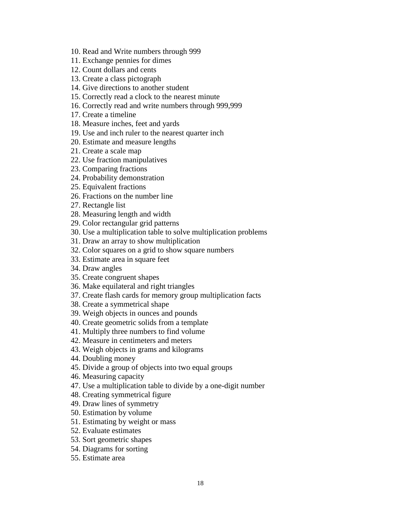- 10. Read and Write numbers through 999
- 11. Exchange pennies for dimes
- 12. Count dollars and cents
- 13. Create a class pictograph
- 14. Give directions to another student
- 15. Correctly read a clock to the nearest minute
- 16. Correctly read and write numbers through 999,999
- 17. Create a timeline
- 18. Measure inches, feet and yards
- 19. Use and inch ruler to the nearest quarter inch
- 20. Estimate and measure lengths
- 21. Create a scale map
- 22. Use fraction manipulatives
- 23. Comparing fractions
- 24. Probability demonstration
- 25. Equivalent fractions
- 26. Fractions on the number line
- 27. Rectangle list
- 28. Measuring length and width
- 29. Color rectangular grid patterns
- 30. Use a multiplication table to solve multiplication problems
- 31. Draw an array to show multiplication
- 32. Color squares on a grid to show square numbers
- 33. Estimate area in square feet
- 34. Draw angles
- 35. Create congruent shapes
- 36. Make equilateral and right triangles
- 37. Create flash cards for memory group multiplication facts
- 38. Create a symmetrical shape
- 39. Weigh objects in ounces and pounds
- 40. Create geometric solids from a template
- 41. Multiply three numbers to find volume
- 42. Measure in centimeters and meters
- 43. Weigh objects in grams and kilograms
- 44. Doubling money
- 45. Divide a group of objects into two equal groups
- 46. Measuring capacity
- 47. Use a multiplication table to divide by a one-digit number
- 48. Creating symmetrical figure
- 49. Draw lines of symmetry
- 50. Estimation by volume
- 51. Estimating by weight or mass
- 52. Evaluate estimates
- 53. Sort geometric shapes
- 54. Diagrams for sorting
- 55. Estimate area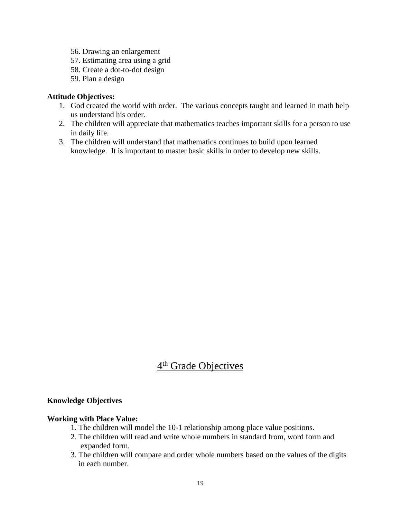- 56. Drawing an enlargement
- 57. Estimating area using a grid
- 58. Create a dot-to-dot design
- 59. Plan a design

#### **Attitude Objectives:**

- 1. God created the world with order. The various concepts taught and learned in math help us understand his order.
- 2. The children will appreciate that mathematics teaches important skills for a person to use in daily life.
- 3. The children will understand that mathematics continues to build upon learned knowledge. It is important to master basic skills in order to develop new skills.

# 4<sup>th</sup> Grade Objectives

#### **Knowledge Objectives**

#### **Working with Place Value:**

- 1. The children will model the 10-1 relationship among place value positions.
- 2. The children will read and write whole numbers in standard from, word form and expanded form.
- 3. The children will compare and order whole numbers based on the values of the digits in each number.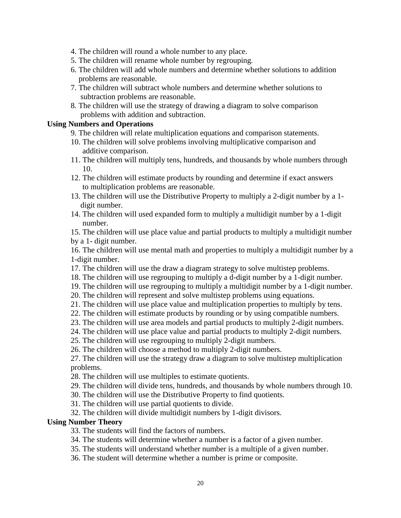- 4. The children will round a whole number to any place.
- 5. The children will rename whole number by regrouping.
- 6. The children will add whole numbers and determine whether solutions to addition problems are reasonable.
- 7. The children will subtract whole numbers and determine whether solutions to subtraction problems are reasonable.
- 8. The children will use the strategy of drawing a diagram to solve comparison problems with addition and subtraction.

#### **Using Numbers and Operations**

- 9. The children will relate multiplication equations and comparison statements.
- 10. The children will solve problems involving multiplicative comparison and additive comparison.
- 11. The children will multiply tens, hundreds, and thousands by whole numbers through 10.
- 12. The children will estimate products by rounding and determine if exact answers to multiplication problems are reasonable.
- 13. The children will use the Distributive Property to multiply a 2-digit number by a 1 digit number.
- 14. The children will used expanded form to multiply a multidigit number by a 1-digit number.

15. The children will use place value and partial products to multiply a multidigit number by a 1- digit number.

16. The children will use mental math and properties to multiply a multidigit number by a 1-digit number.

- 17. The children will use the draw a diagram strategy to solve multistep problems.
- 18. The children will use regrouping to multiply a d-digit number by a 1-digit number.
- 19. The children will use regrouping to multiply a multidigit number by a 1-digit number.
- 20. The children will represent and solve multistep problems using equations.
- 21. The children will use place value and multiplication properties to multiply by tens.
- 22. The children will estimate products by rounding or by using compatible numbers.
- 23. The children will use area models and partial products to multiply 2-digit numbers.
- 24. The children will use place value and partial products to multiply 2-digit numbers.

25. The children will use regrouping to multiply 2-digit numbers.

26. The children will choose a method to multiply 2-digit numbers.

27. The children will use the strategy draw a diagram to solve multistep multiplication problems.

28. The children will use multiples to estimate quotients.

29. The children will divide tens, hundreds, and thousands by whole numbers through 10.

30. The children will use the Distributive Property to find quotients.

- 31. The children will use partial quotients to divide.
- 32. The children will divide multidigit numbers by 1-digit divisors.

#### **Using Number Theory**

33. The students will find the factors of numbers.

- 34. The students will determine whether a number is a factor of a given number.
- 35. The students will understand whether number is a multiple of a given number.
- 36. The student will determine whether a number is prime or composite.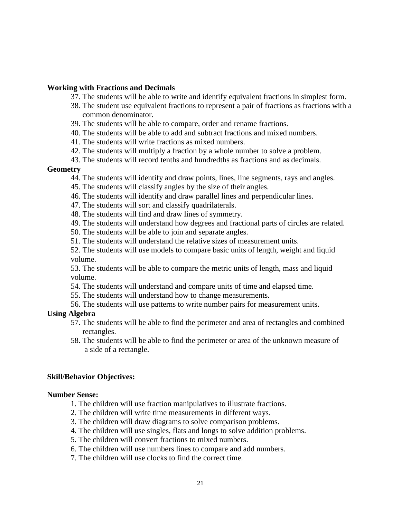#### **Working with Fractions and Decimals**

- 37. The students will be able to write and identify equivalent fractions in simplest form.
- 38. The student use equivalent fractions to represent a pair of fractions as fractions with a common denominator.
- 39. The students will be able to compare, order and rename fractions.
- 40. The students will be able to add and subtract fractions and mixed numbers.
- 41. The students will write fractions as mixed numbers.
- 42. The students will multiply a fraction by a whole number to solve a problem.
- 43. The students will record tenths and hundredths as fractions and as decimals.

#### **Geometry**

- 44. The students will identify and draw points, lines, line segments, rays and angles.
- 45. The students will classify angles by the size of their angles.
- 46. The students will identify and draw parallel lines and perpendicular lines.
- 47. The students will sort and classify quadrilaterals.
- 48. The students will find and draw lines of symmetry.
- 49. The students will understand how degrees and fractional parts of circles are related.
- 50. The students will be able to join and separate angles.
- 51. The students will understand the relative sizes of measurement units.
- 52. The students will use models to compare basic units of length, weight and liquid volume.

53. The students will be able to compare the metric units of length, mass and liquid volume.

- 54. The students will understand and compare units of time and elapsed time.
- 55. The students will understand how to change measurements.
- 56. The students will use patterns to write number pairs for measurement units.

#### **Using Algebra**

- 57. The students will be able to find the perimeter and area of rectangles and combined rectangles.
- 58. The students will be able to find the perimeter or area of the unknown measure of a side of a rectangle.

#### **Skill/Behavior Objectives:**

#### **Number Sense:**

- 1. The children will use fraction manipulatives to illustrate fractions.
- 2. The children will write time measurements in different ways.
- 3. The children will draw diagrams to solve comparison problems.
- 4. The children will use singles, flats and longs to solve addition problems.
- 5. The children will convert fractions to mixed numbers.
- 6. The children will use numbers lines to compare and add numbers.
- 7. The children will use clocks to find the correct time.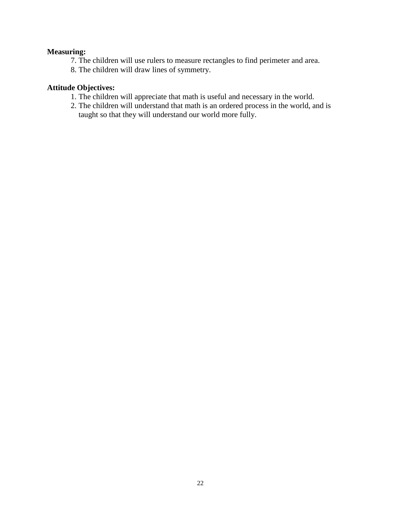## **Measuring:**

7. The children will use rulers to measure rectangles to find perimeter and area.

8. The children will draw lines of symmetry.

# **Attitude Objectives:**

- 1. The children will appreciate that math is useful and necessary in the world.
- 2. The children will understand that math is an ordered process in the world, and is taught so that they will understand our world more fully.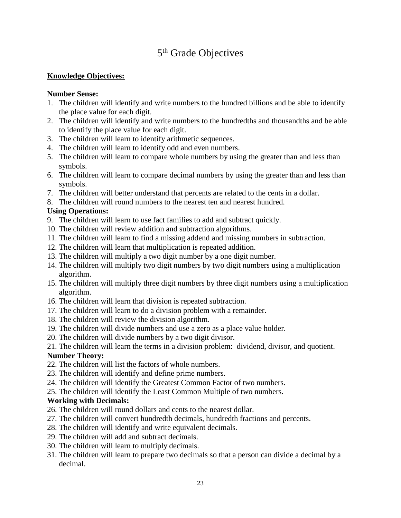# 5<sup>th</sup> Grade Objectives

## **Knowledge Objectives:**

#### **Number Sense:**

- 1. The children will identify and write numbers to the hundred billions and be able to identify the place value for each digit.
- 2. The children will identify and write numbers to the hundredths and thousandths and be able to identify the place value for each digit.
- 3. The children will learn to identify arithmetic sequences.
- 4. The children will learn to identify odd and even numbers.
- 5. The children will learn to compare whole numbers by using the greater than and less than symbols.
- 6. The children will learn to compare decimal numbers by using the greater than and less than symbols.
- 7. The children will better understand that percents are related to the cents in a dollar.
- 8. The children will round numbers to the nearest ten and nearest hundred.

## **Using Operations:**

- 9. The children will learn to use fact families to add and subtract quickly.
- 10. The children will review addition and subtraction algorithms.
- 11. The children will learn to find a missing addend and missing numbers in subtraction.
- 12. The children will learn that multiplication is repeated addition.
- 13. The children will multiply a two digit number by a one digit number.
- 14. The children will multiply two digit numbers by two digit numbers using a multiplication algorithm.
- 15. The children will multiply three digit numbers by three digit numbers using a multiplication algorithm.
- 16. The children will learn that division is repeated subtraction.
- 17. The children will learn to do a division problem with a remainder.
- 18. The children will review the division algorithm.
- 19. The children will divide numbers and use a zero as a place value holder.
- 20. The children will divide numbers by a two digit divisor.

21. The children will learn the terms in a division problem: dividend, divisor, and quotient.

## **Number Theory:**

- 22. The children will list the factors of whole numbers.
- 23. The children will identify and define prime numbers.
- 24. The children will identify the Greatest Common Factor of two numbers.
- 25. The children will identify the Least Common Multiple of two numbers.

## **Working with Decimals:**

- 26. The children will round dollars and cents to the nearest dollar.
- 27. The children will convert hundredth decimals, hundredth fractions and percents.
- 28. The children will identify and write equivalent decimals.
- 29. The children will add and subtract decimals.
- 30. The children will learn to multiply decimals.
- 31. The children will learn to prepare two decimals so that a person can divide a decimal by a decimal.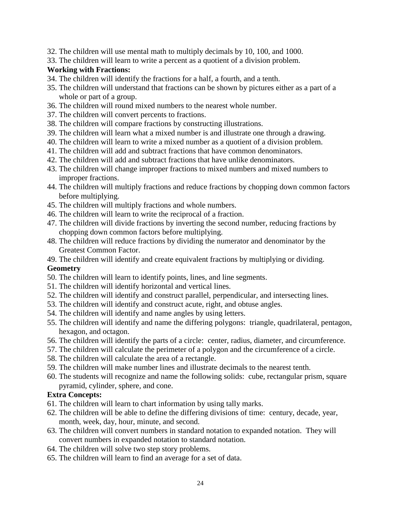- 32. The children will use mental math to multiply decimals by 10, 100, and 1000.
- 33. The children will learn to write a percent as a quotient of a division problem.

## **Working with Fractions:**

- 34. The children will identify the fractions for a half, a fourth, and a tenth.
- 35. The children will understand that fractions can be shown by pictures either as a part of a whole or part of a group.
- 36. The children will round mixed numbers to the nearest whole number.
- 37. The children will convert percents to fractions.
- 38. The children will compare fractions by constructing illustrations.
- 39. The children will learn what a mixed number is and illustrate one through a drawing.
- 40. The children will learn to write a mixed number as a quotient of a division problem.
- 41. The children will add and subtract fractions that have common denominators.
- 42. The children will add and subtract fractions that have unlike denominators.
- 43. The children will change improper fractions to mixed numbers and mixed numbers to improper fractions.
- 44. The children will multiply fractions and reduce fractions by chopping down common factors before multiplying.
- 45. The children will multiply fractions and whole numbers.
- 46. The children will learn to write the reciprocal of a fraction.
- 47. The children will divide fractions by inverting the second number, reducing fractions by chopping down common factors before multiplying.
- 48. The children will reduce fractions by dividing the numerator and denominator by the Greatest Common Factor.
- 49. The children will identify and create equivalent fractions by multiplying or dividing.

## **Geometry**

- 50. The children will learn to identify points, lines, and line segments.
- 51. The children will identify horizontal and vertical lines.
- 52. The children will identify and construct parallel, perpendicular, and intersecting lines.
- 53. The children will identify and construct acute, right, and obtuse angles.
- 54. The children will identify and name angles by using letters.
- 55. The children will identify and name the differing polygons: triangle, quadrilateral, pentagon, hexagon, and octagon.
- 56. The children will identify the parts of a circle: center, radius, diameter, and circumference.
- 57. The children will calculate the perimeter of a polygon and the circumference of a circle.
- 58. The children will calculate the area of a rectangle.
- 59. The children will make number lines and illustrate decimals to the nearest tenth.
- 60. The students will recognize and name the following solids: cube, rectangular prism, square pyramid, cylinder, sphere, and cone.

## **Extra Concepts:**

- 61. The children will learn to chart information by using tally marks.
- 62. The children will be able to define the differing divisions of time: century, decade, year, month, week, day, hour, minute, and second.
- 63. The children will convert numbers in standard notation to expanded notation. They will convert numbers in expanded notation to standard notation.
- 64. The children will solve two step story problems.
- 65. The children will learn to find an average for a set of data.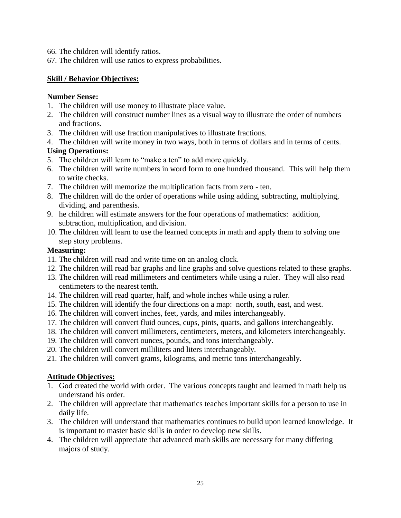- 66. The children will identify ratios.
- 67. The children will use ratios to express probabilities.

#### **Skill / Behavior Objectives:**

#### **Number Sense:**

- 1. The children will use money to illustrate place value.
- 2. The children will construct number lines as a visual way to illustrate the order of numbers and fractions.
- 3. The children will use fraction manipulatives to illustrate fractions.
- 4. The children will write money in two ways, both in terms of dollars and in terms of cents.

#### **Using Operations:**

- 5. The children will learn to "make a ten" to add more quickly.
- 6. The children will write numbers in word form to one hundred thousand. This will help them to write checks.
- 7. The children will memorize the multiplication facts from zero ten.
- 8. The children will do the order of operations while using adding, subtracting, multiplying, dividing, and parenthesis.
- 9. he children will estimate answers for the four operations of mathematics: addition, subtraction, multiplication, and division.
- 10. The children will learn to use the learned concepts in math and apply them to solving one step story problems.

#### **Measuring:**

- 11. The children will read and write time on an analog clock.
- 12. The children will read bar graphs and line graphs and solve questions related to these graphs.
- 13. The children will read millimeters and centimeters while using a ruler. They will also read centimeters to the nearest tenth.
- 14. The children will read quarter, half, and whole inches while using a ruler.
- 15. The children will identify the four directions on a map: north, south, east, and west.
- 16. The children will convert inches, feet, yards, and miles interchangeably.
- 17. The children will convert fluid ounces, cups, pints, quarts, and gallons interchangeably.
- 18. The children will convert millimeters, centimeters, meters, and kilometers interchangeably.
- 19. The children will convert ounces, pounds, and tons interchangeably.
- 20. The children will convert milliliters and liters interchangeably.
- 21. The children will convert grams, kilograms, and metric tons interchangeably.

## **Attitude Objectives:**

- 1. God created the world with order. The various concepts taught and learned in math help us understand his order.
- 2. The children will appreciate that mathematics teaches important skills for a person to use in daily life.
- 3. The children will understand that mathematics continues to build upon learned knowledge. It is important to master basic skills in order to develop new skills.
- 4. The children will appreciate that advanced math skills are necessary for many differing majors of study.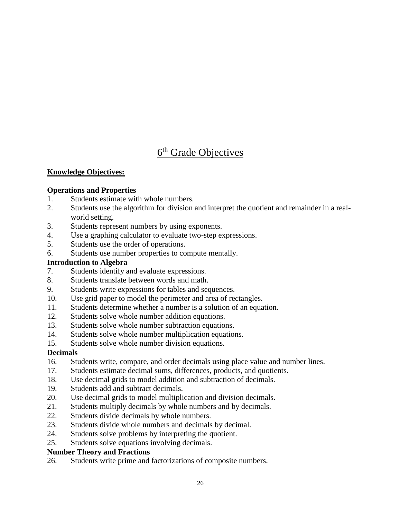# 6<sup>th</sup> Grade Objectives

# **Knowledge Objectives:**

## **Operations and Properties**

- 1. Students estimate with whole numbers.
- 2. Students use the algorithm for division and interpret the quotient and remainder in a realworld setting.
- 3. Students represent numbers by using exponents.
- 4. Use a graphing calculator to evaluate two-step expressions.
- 5. Students use the order of operations.
- 6. Students use number properties to compute mentally.

## **Introduction to Algebra**

- 7. Students identify and evaluate expressions.
- 8. Students translate between words and math.
- 9. Students write expressions for tables and sequences.
- 10. Use grid paper to model the perimeter and area of rectangles.
- 11. Students determine whether a number is a solution of an equation.
- 12. Students solve whole number addition equations.
- 13. Students solve whole number subtraction equations.
- 14. Students solve whole number multiplication equations.
- 15. Students solve whole number division equations.

## **Decimals**

- 16. Students write, compare, and order decimals using place value and number lines.
- 17. Students estimate decimal sums, differences, products, and quotients.
- 18. Use decimal grids to model addition and subtraction of decimals.
- 19. Students add and subtract decimals.
- 20. Use decimal grids to model multiplication and division decimals.
- 21. Students multiply decimals by whole numbers and by decimals.
- 22. Students divide decimals by whole numbers.
- 23. Students divide whole numbers and decimals by decimal.
- 24. Students solve problems by interpreting the quotient.
- 25. Students solve equations involving decimals.

#### **Number Theory and Fractions**

26. Students write prime and factorizations of composite numbers.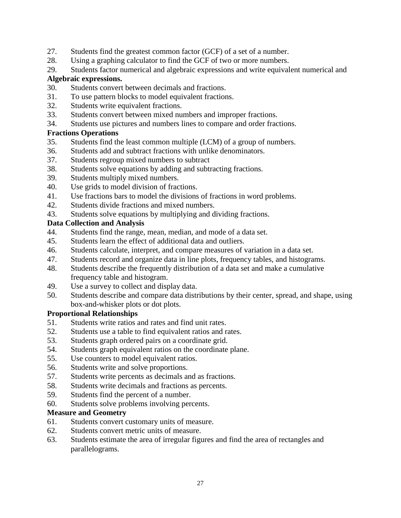- 27. Students find the greatest common factor (GCF) of a set of a number.
- 28. Using a graphing calculator to find the GCF of two or more numbers.

29. Students factor numerical and algebraic expressions and write equivalent numerical and **Algebraic expressions.**

- 30. Students convert between decimals and fractions.
- 31. To use pattern blocks to model equivalent fractions.
- 32. Students write equivalent fractions.
- 33. Students convert between mixed numbers and improper fractions.
- 34. Students use pictures and numbers lines to compare and order fractions.

## **Fractions Operations**

- 35. Students find the least common multiple (LCM) of a group of numbers.
- 36. Students add and subtract fractions with unlike denominators.
- 37. Students regroup mixed numbers to subtract
- 38. Students solve equations by adding and subtracting fractions.
- 39. Students multiply mixed numbers.
- 40. Use grids to model division of fractions.
- 41. Use fractions bars to model the divisions of fractions in word problems.
- 42. Students divide fractions and mixed numbers.
- 43. Students solve equations by multiplying and dividing fractions.

#### **Data Collection and Analysis**

- 44. Students find the range, mean, median, and mode of a data set.
- 45. Students learn the effect of additional data and outliers.
- 46. Students calculate, interpret, and compare measures of variation in a data set.
- 47. Students record and organize data in line plots, frequency tables, and histograms.
- 48. Students describe the frequently distribution of a data set and make a cumulative frequency table and histogram.
- 49. Use a survey to collect and display data.
- 50. Students describe and compare data distributions by their center, spread, and shape, using box-and-whisker plots or dot plots.

#### **Proportional Relationships**

- 51. Students write ratios and rates and find unit rates.
- 52. Students use a table to find equivalent ratios and rates.
- 53. Students graph ordered pairs on a coordinate grid.
- 54. Students graph equivalent ratios on the coordinate plane.
- 55. Use counters to model equivalent ratios.
- 56. Students write and solve proportions.
- 57. Students write percents as decimals and as fractions.
- 58. Students write decimals and fractions as percents.
- 59. Students find the percent of a number.
- 60. Students solve problems involving percents.

## **Measure and Geometry**

- 61. Students convert customary units of measure.
- 62. Students convert metric units of measure.
- 63. Students estimate the area of irregular figures and find the area of rectangles and parallelograms.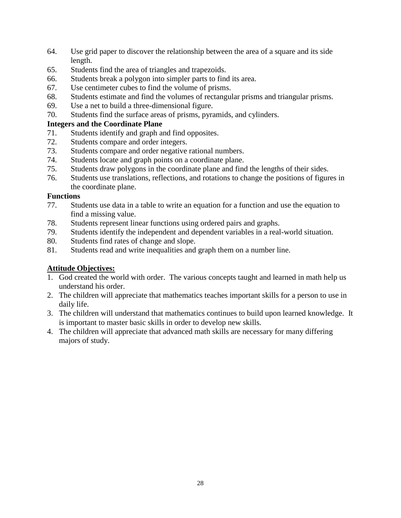- 64. Use grid paper to discover the relationship between the area of a square and its side length.
- 65. Students find the area of triangles and trapezoids.
- 66. Students break a polygon into simpler parts to find its area.
- 67. Use centimeter cubes to find the volume of prisms.
- 68. Students estimate and find the volumes of rectangular prisms and triangular prisms.
- 69. Use a net to build a three-dimensional figure.
- 70. Students find the surface areas of prisms, pyramids, and cylinders.

#### **Integers and the Coordinate Plane**

- 71. Students identify and graph and find opposites.
- 72. Students compare and order integers.
- 73. Students compare and order negative rational numbers.
- 74. Students locate and graph points on a coordinate plane.
- 75. Students draw polygons in the coordinate plane and find the lengths of their sides.
- 76. Students use translations, reflections, and rotations to change the positions of figures in the coordinate plane.

#### **Functions**

- 77. Students use data in a table to write an equation for a function and use the equation to find a missing value.
- 78. Students represent linear functions using ordered pairs and graphs.
- 79. Students identify the independent and dependent variables in a real-world situation.
- 80. Students find rates of change and slope.
- 81. Students read and write inequalities and graph them on a number line.

## **Attitude Objectives:**

- 1. God created the world with order. The various concepts taught and learned in math help us understand his order.
- 2. The children will appreciate that mathematics teaches important skills for a person to use in daily life.
- 3. The children will understand that mathematics continues to build upon learned knowledge. It is important to master basic skills in order to develop new skills.
- 4. The children will appreciate that advanced math skills are necessary for many differing majors of study.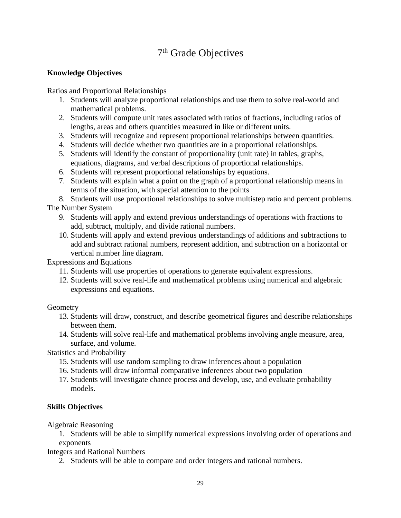# 7<sup>th</sup> Grade Objectives

## **Knowledge Objectives**

Ratios and Proportional Relationships

- 1. Students will analyze proportional relationships and use them to solve real-world and mathematical problems.
- 2. Students will compute unit rates associated with ratios of fractions, including ratios of lengths, areas and others quantities measured in like or different units.
- 3. Students will recognize and represent proportional relationships between quantities.
- 4. Students will decide whether two quantities are in a proportional relationships.
- 5. Students will identify the constant of proportionality (unit rate) in tables, graphs, equations, diagrams, and verbal descriptions of proportional relationships.
- 6. Students will represent proportional relationships by equations.
- 7. Students will explain what a point on the graph of a proportional relationship means in terms of the situation, with special attention to the points

8. Students will use proportional relationships to solve multistep ratio and percent problems. The Number System

- 9. Students will apply and extend previous understandings of operations with fractions to add, subtract, multiply, and divide rational numbers.
- 10. Students will apply and extend previous understandings of additions and subtractions to add and subtract rational numbers, represent addition, and subtraction on a horizontal or vertical number line diagram.

Expressions and Equations

- 11. Students will use properties of operations to generate equivalent expressions.
- 12. Students will solve real-life and mathematical problems using numerical and algebraic expressions and equations.

**Geometry** 

- 13. Students will draw, construct, and describe geometrical figures and describe relationships between them.
- 14. Students will solve real-life and mathematical problems involving angle measure, area, surface, and volume.

Statistics and Probability

- 15. Students will use random sampling to draw inferences about a population
- 16. Students will draw informal comparative inferences about two population
- 17. Students will investigate chance process and develop, use, and evaluate probability models.

# **Skills Objectives**

Algebraic Reasoning

1. Students will be able to simplify numerical expressions involving order of operations and exponents

Integers and Rational Numbers

2. Students will be able to compare and order integers and rational numbers.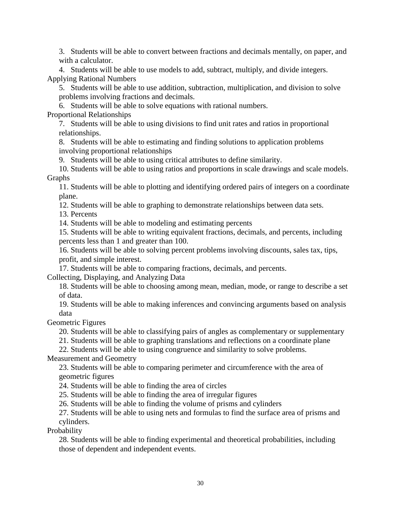3. Students will be able to convert between fractions and decimals mentally, on paper, and with a calculator.

4. Students will be able to use models to add, subtract, multiply, and divide integers. Applying Rational Numbers

5. Students will be able to use addition, subtraction, multiplication, and division to solve problems involving fractions and decimals.

6. Students will be able to solve equations with rational numbers.

Proportional Relationships

7. Students will be able to using divisions to find unit rates and ratios in proportional relationships.

8. Students will be able to estimating and finding solutions to application problems involving proportional relationships

9. Students will be able to using critical attributes to define similarity.

10. Students will be able to using ratios and proportions in scale drawings and scale models. Graphs

11. Students will be able to plotting and identifying ordered pairs of integers on a coordinate plane.

12. Students will be able to graphing to demonstrate relationships between data sets.

13. Percents

14. Students will be able to modeling and estimating percents

15. Students will be able to writing equivalent fractions, decimals, and percents, including percents less than 1 and greater than 100.

16. Students will be able to solving percent problems involving discounts, sales tax, tips, profit, and simple interest.

17. Students will be able to comparing fractions, decimals, and percents.

Collecting, Displaying, and Analyzing Data

18. Students will be able to choosing among mean, median, mode, or range to describe a set of data.

19. Students will be able to making inferences and convincing arguments based on analysis data

Geometric Figures

20. Students will be able to classifying pairs of angles as complementary or supplementary

21. Students will be able to graphing translations and reflections on a coordinate plane

22. Students will be able to using congruence and similarity to solve problems.

Measurement and Geometry

23. Students will be able to comparing perimeter and circumference with the area of geometric figures

24. Students will be able to finding the area of circles

25. Students will be able to finding the area of irregular figures

26. Students will be able to finding the volume of prisms and cylinders

27. Students will be able to using nets and formulas to find the surface area of prisms and cylinders.

Probability

28. Students will be able to finding experimental and theoretical probabilities, including those of dependent and independent events.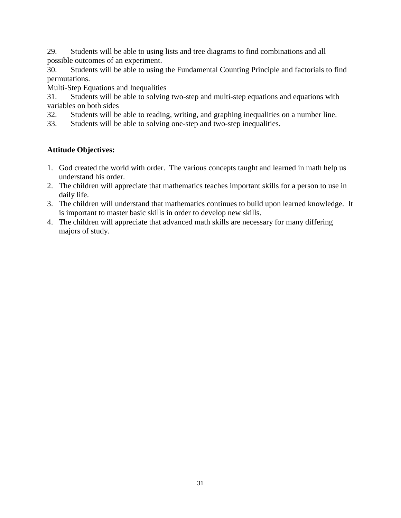29. Students will be able to using lists and tree diagrams to find combinations and all possible outcomes of an experiment.

30. Students will be able to using the Fundamental Counting Principle and factorials to find permutations.

Multi-Step Equations and Inequalities

31. Students will be able to solving two-step and multi-step equations and equations with variables on both sides

32. Students will be able to reading, writing, and graphing inequalities on a number line.

33. Students will be able to solving one-step and two-step inequalities.

# **Attitude Objectives:**

- 1. God created the world with order. The various concepts taught and learned in math help us understand his order.
- 2. The children will appreciate that mathematics teaches important skills for a person to use in daily life.
- 3. The children will understand that mathematics continues to build upon learned knowledge. It is important to master basic skills in order to develop new skills.
- 4. The children will appreciate that advanced math skills are necessary for many differing majors of study.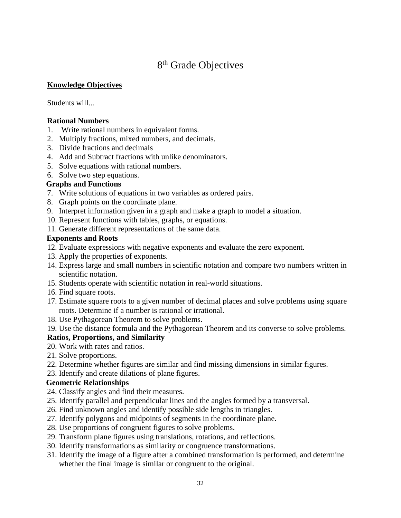# 8<sup>th</sup> Grade Objectives

#### **Knowledge Objectives**

Students will...

#### **Rational Numbers**

- 1. Write rational numbers in equivalent forms.
- 2. Multiply fractions, mixed numbers, and decimals.
- 3. Divide fractions and decimals
- 4. Add and Subtract fractions with unlike denominators.
- 5. Solve equations with rational numbers.
- 6. Solve two step equations.

#### **Graphs and Functions**

- 7. Write solutions of equations in two variables as ordered pairs.
- 8. Graph points on the coordinate plane.
- 9. Interpret information given in a graph and make a graph to model a situation.
- 10. Represent functions with tables, graphs, or equations.
- 11. Generate different representations of the same data.

#### **Exponents and Roots**

- 12. Evaluate expressions with negative exponents and evaluate the zero exponent.
- 13. Apply the properties of exponents.
- 14. Express large and small numbers in scientific notation and compare two numbers written in scientific notation.
- 15. Students operate with scientific notation in real-world situations.
- 16. Find square roots.
- 17. Estimate square roots to a given number of decimal places and solve problems using square roots. Determine if a number is rational or irrational.
- 18. Use Pythagorean Theorem to solve problems.
- 19. Use the distance formula and the Pythagorean Theorem and its converse to solve problems.

## **Ratios, Proportions, and Similarity**

- 20. Work with rates and ratios.
- 21. Solve proportions.
- 22. Determine whether figures are similar and find missing dimensions in similar figures.
- 23. Identify and create dilations of plane figures.

## **Geometric Relationships**

- 24. Classify angles and find their measures.
- 25. Identify parallel and perpendicular lines and the angles formed by a transversal.
- 26. Find unknown angles and identify possible side lengths in triangles.
- 27. Identify polygons and midpoints of segments in the coordinate plane.
- 28. Use proportions of congruent figures to solve problems.
- 29. Transform plane figures using translations, rotations, and reflections.
- 30. Identify transformations as similarity or congruence transformations.
- 31. Identify the image of a figure after a combined transformation is performed, and determine whether the final image is similar or congruent to the original.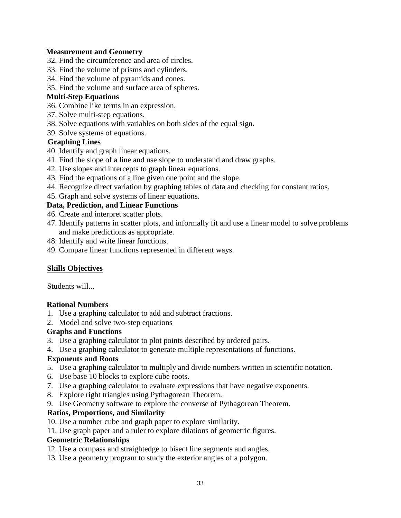## **Measurement and Geometry**

- 32. Find the circumference and area of circles.
- 33. Find the volume of prisms and cylinders.
- 34. Find the volume of pyramids and cones.
- 35. Find the volume and surface area of spheres.

#### **Multi-Step Equations**

- 36. Combine like terms in an expression.
- 37. Solve multi-step equations.
- 38. Solve equations with variables on both sides of the equal sign.
- 39. Solve systems of equations.

#### **Graphing Lines**

- 40. Identify and graph linear equations.
- 41. Find the slope of a line and use slope to understand and draw graphs.
- 42. Use slopes and intercepts to graph linear equations.
- 43. Find the equations of a line given one point and the slope.
- 44. Recognize direct variation by graphing tables of data and checking for constant ratios.
- 45. Graph and solve systems of linear equations.

## **Data, Prediction, and Linear Functions**

- 46. Create and interpret scatter plots.
- 47. Identify patterns in scatter plots, and informally fit and use a linear model to solve problems and make predictions as appropriate.
- 48. Identify and write linear functions.
- 49. Compare linear functions represented in different ways.

## **Skills Objectives**

Students will...

## **Rational Numbers**

- 1. Use a graphing calculator to add and subtract fractions.
- 2. Model and solve two-step equations

#### **Graphs and Functions**

- 3. Use a graphing calculator to plot points described by ordered pairs.
- 4. Use a graphing calculator to generate multiple representations of functions.

## **Exponents and Roots**

- 5. Use a graphing calculator to multiply and divide numbers written in scientific notation.
- 6. Use base 10 blocks to explore cube roots.
- 7. Use a graphing calculator to evaluate expressions that have negative exponents.
- 8. Explore right triangles using Pythagorean Theorem.
- 9. Use Geometry software to explore the converse of Pythagorean Theorem.

## **Ratios, Proportions, and Similarity**

- 10. Use a number cube and graph paper to explore similarity.
- 11. Use graph paper and a ruler to explore dilations of geometric figures.

## **Geometric Relationships**

- 12. Use a compass and straightedge to bisect line segments and angles.
- 13. Use a geometry program to study the exterior angles of a polygon.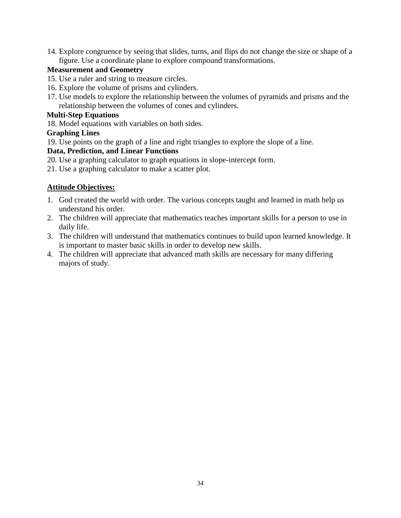14. Explore congruence by seeing that slides, turns, and flips do not change the size or shape of a figure. Use a coordinate plane to explore compound transformations.

## **Measurement and Geometry**

- 15. Use a ruler and string to measure circles.
- 16. Explore the volume of prisms and cylinders.
- 17. Use models to explore the relationship between the volumes of pyramids and prisms and the relationship between the volumes of cones and cylinders.

## **Multi-Step Equations**

18. Model equations with variables on both sides.

## **Graphing Lines**

19. Use points on the graph of a line and right triangles to explore the slope of a line.

## **Data, Prediction, and Linear Functions**

- 20. Use a graphing calculator to graph equations in slope-intercept form.
- 21. Use a graphing calculator to make a scatter plot.

# **Attitude Objectives:**

- 1. God created the world with order. The various concepts taught and learned in math help us understand his order.
- 2. The children will appreciate that mathematics teaches important skills for a person to use in daily life.
- 3. The children will understand that mathematics continues to build upon learned knowledge. It is important to master basic skills in order to develop new skills.
- 4. The children will appreciate that advanced math skills are necessary for many differing majors of study.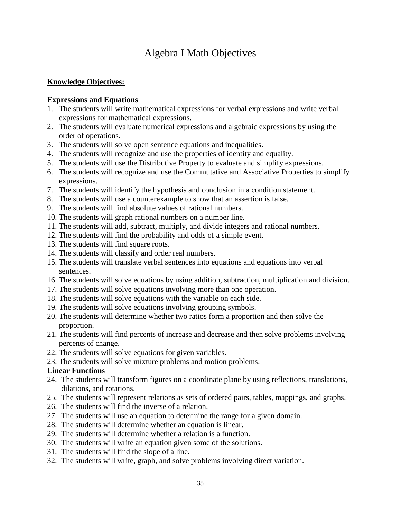# Algebra I Math Objectives

#### **Knowledge Objectives:**

#### **Expressions and Equations**

- 1. The students will write mathematical expressions for verbal expressions and write verbal expressions for mathematical expressions.
- 2. The students will evaluate numerical expressions and algebraic expressions by using the order of operations.
- 3. The students will solve open sentence equations and inequalities.
- 4. The students will recognize and use the properties of identity and equality.
- 5. The students will use the Distributive Property to evaluate and simplify expressions.
- 6. The students will recognize and use the Commutative and Associative Properties to simplify expressions.
- 7. The students will identify the hypothesis and conclusion in a condition statement.
- 8. The students will use a counterexample to show that an assertion is false.
- 9. The students will find absolute values of rational numbers.
- 10. The students will graph rational numbers on a number line.
- 11. The students will add, subtract, multiply, and divide integers and rational numbers.
- 12. The students will find the probability and odds of a simple event.
- 13. The students will find square roots.
- 14. The students will classify and order real numbers.
- 15. The students will translate verbal sentences into equations and equations into verbal sentences.
- 16. The students will solve equations by using addition, subtraction, multiplication and division.
- 17. The students will solve equations involving more than one operation.
- 18. The students will solve equations with the variable on each side.
- 19. The students will solve equations involving grouping symbols.
- 20. The students will determine whether two ratios form a proportion and then solve the proportion.
- 21. The students will find percents of increase and decrease and then solve problems involving percents of change.
- 22. The students will solve equations for given variables.
- 23. The students will solve mixture problems and motion problems.

## **Linear Functions**

- 24. The students will transform figures on a coordinate plane by using reflections, translations, dilations, and rotations.
- 25. The students will represent relations as sets of ordered pairs, tables, mappings, and graphs.
- 26. The students will find the inverse of a relation.
- 27. The students will use an equation to determine the range for a given domain.
- 28. The students will determine whether an equation is linear.
- 29. The students will determine whether a relation is a function.
- 30. The students will write an equation given some of the solutions.
- 31. The students will find the slope of a line.
- 32. The students will write, graph, and solve problems involving direct variation.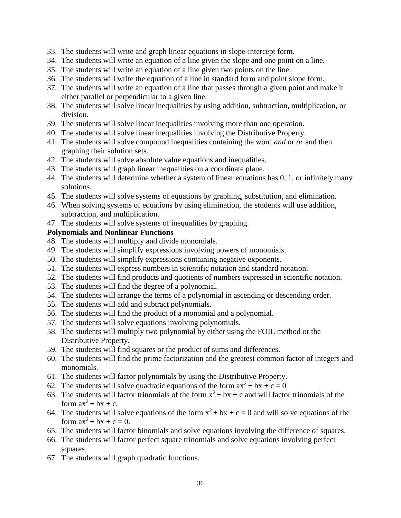- 33. The students will write and graph linear equations in slope-intercept form.
- 34. The students will write an equation of a line given the slope and one point on a line.
- 35. The students will write an equation of a line given two points on the line.
- 36. The students will write the equation of a line in standard form and point slope form.
- 37. The students will write an equation of a line that passes through a given point and make it either parallel or perpendicular to a given line.
- 38. The students will solve linear inequalities by using addition, subtraction, multiplication, or division.
- 39. The students will solve linear inequalities involving more than one operation.
- 40. The students will solve linear inequalities involving the Distributive Property.
- 41. The students will solve compound inequalities containing the word *and* or *or* and then graphing their solution sets.
- 42. The students will solve absolute value equations and inequalities.
- 43. The students will graph linear inequalities on a coordinate plane.
- 44. The students will determine whether a system of linear equations has 0, 1, or infinitely many solutions.
- 45. The students will solve systems of equations by graphing, substitution, and elimination.
- 46. When solving systems of equations by using elimination, the students will use addition, subtraction, and multiplication.
- 47. The students will solve systems of inequalities by graphing.

#### **Polynomials and Nonlinear Functions**

- 48. The students will multiply and divide monomials.
- 49. The students will simplify expressions involving powers of monomials.
- 50. The students will simplify expressions containing negative exponents.
- 51. The students will express numbers in scientific notation and standard notation.
- 52. The students will find products and quotients of numbers expressed in scientific notation.
- 53. The students will find the degree of a polynomial.
- 54. The students will arrange the terms of a polynomial in ascending or descending order.
- 55. The students will add and subtract polynomials.
- 56. The students will find the product of a monomial and a polynomial.
- 57. The students will solve equations involving polynomials.
- 58. The students will multiply two polynomial by either using the FOIL method or the Distributive Property.
- 59. The students will find squares or the product of sums and differences.
- 60. The students will find the prime factorization and the greatest common factor of integers and monomials.
- 61. The students will factor polynomials by using the Distributive Property.
- 62. The students will solve quadratic equations of the form  $ax^2 + bx + c = 0$
- 63. The students will factor trinomials of the form  $x^2 + bx + c$  and will factor trinomials of the form  $ax^2 + bx + c$ .
- 64. The students will solve equations of the form  $x^2 + bx + c = 0$  and will solve equations of the form  $ax^2 + bx + c = 0$ .
- 65. The students will factor binomials and solve equations involving the difference of squares.
- 66. The students will factor perfect square trinomials and solve equations involving perfect squares.
- 67. The students will graph quadratic functions.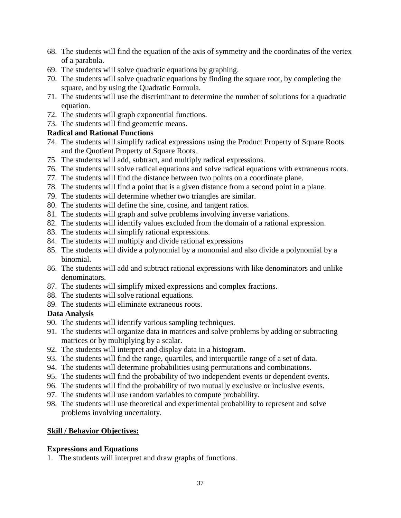- 68. The students will find the equation of the axis of symmetry and the coordinates of the vertex of a parabola.
- 69. The students will solve quadratic equations by graphing.
- 70. The students will solve quadratic equations by finding the square root, by completing the square, and by using the Quadratic Formula.
- 71. The students will use the discriminant to determine the number of solutions for a quadratic equation.
- 72. The students will graph exponential functions.
- 73. The students will find geometric means.

## **Radical and Rational Functions**

- 74. The students will simplify radical expressions using the Product Property of Square Roots and the Quotient Property of Square Roots.
- 75. The students will add, subtract, and multiply radical expressions.
- 76. The students will solve radical equations and solve radical equations with extraneous roots.
- 77. The students will find the distance between two points on a coordinate plane.
- 78. The students will find a point that is a given distance from a second point in a plane.
- 79. The students will determine whether two triangles are similar.
- 80. The students will define the sine, cosine, and tangent ratios.
- 81. The students will graph and solve problems involving inverse variations.
- 82. The students will identify values excluded from the domain of a rational expression.
- 83. The students will simplify rational expressions.
- 84. The students will multiply and divide rational expressions
- 85. The students will divide a polynomial by a monomial and also divide a polynomial by a binomial.
- 86. The students will add and subtract rational expressions with like denominators and unlike denominators.
- 87. The students will simplify mixed expressions and complex fractions.
- 88. The students will solve rational equations.
- 89. The students will eliminate extraneous roots.

#### **Data Analysis**

- 90. The students will identify various sampling techniques.
- 91. The students will organize data in matrices and solve problems by adding or subtracting matrices or by multiplying by a scalar.
- 92. The students will interpret and display data in a histogram.
- 93. The students will find the range, quartiles, and interquartile range of a set of data.
- 94. The students will determine probabilities using permutations and combinations.
- 95. The students will find the probability of two independent events or dependent events.
- 96. The students will find the probability of two mutually exclusive or inclusive events.
- 97. The students will use random variables to compute probability.
- 98. The students will use theoretical and experimental probability to represent and solve problems involving uncertainty.

## **Skill / Behavior Objectives:**

#### **Expressions and Equations**

1. The students will interpret and draw graphs of functions.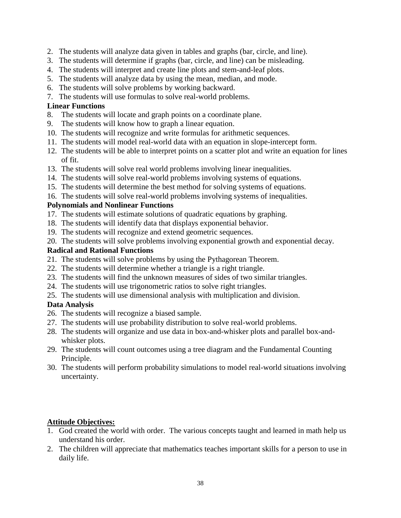- 2. The students will analyze data given in tables and graphs (bar, circle, and line).
- 3. The students will determine if graphs (bar, circle, and line) can be misleading.
- 4. The students will interpret and create line plots and stem-and-leaf plots.
- 5. The students will analyze data by using the mean, median, and mode.
- 6. The students will solve problems by working backward.
- 7. The students will use formulas to solve real-world problems.

# **Linear Functions**

- 8. The students will locate and graph points on a coordinate plane.
- 9. The students will know how to graph a linear equation.
- 10. The students will recognize and write formulas for arithmetic sequences.
- 11. The students will model real-world data with an equation in slope-intercept form.
- 12. The students will be able to interpret points on a scatter plot and write an equation for lines of fit.
- 13. The students will solve real world problems involving linear inequalities.
- 14. The students will solve real-world problems involving systems of equations.
- 15. The students will determine the best method for solving systems of equations.
- 16. The students will solve real-world problems involving systems of inequalities.

# **Polynomials and Nonlinear Functions**

- 17. The students will estimate solutions of quadratic equations by graphing.
- 18. The students will identify data that displays exponential behavior.
- 19. The students will recognize and extend geometric sequences.
- 20. The students will solve problems involving exponential growth and exponential decay.

## **Radical and Rational Functions**

- 21. The students will solve problems by using the Pythagorean Theorem.
- 22. The students will determine whether a triangle is a right triangle.
- 23. The students will find the unknown measures of sides of two similar triangles.
- 24. The students will use trigonometric ratios to solve right triangles.
- 25. The students will use dimensional analysis with multiplication and division.

# **Data Analysis**

- 26. The students will recognize a biased sample.
- 27. The students will use probability distribution to solve real-world problems.
- 28. The students will organize and use data in box-and-whisker plots and parallel box-andwhisker plots.
- 29. The students will count outcomes using a tree diagram and the Fundamental Counting Principle.
- 30. The students will perform probability simulations to model real-world situations involving uncertainty.

# **Attitude Objectives:**

- 1. God created the world with order. The various concepts taught and learned in math help us understand his order.
- 2. The children will appreciate that mathematics teaches important skills for a person to use in daily life.